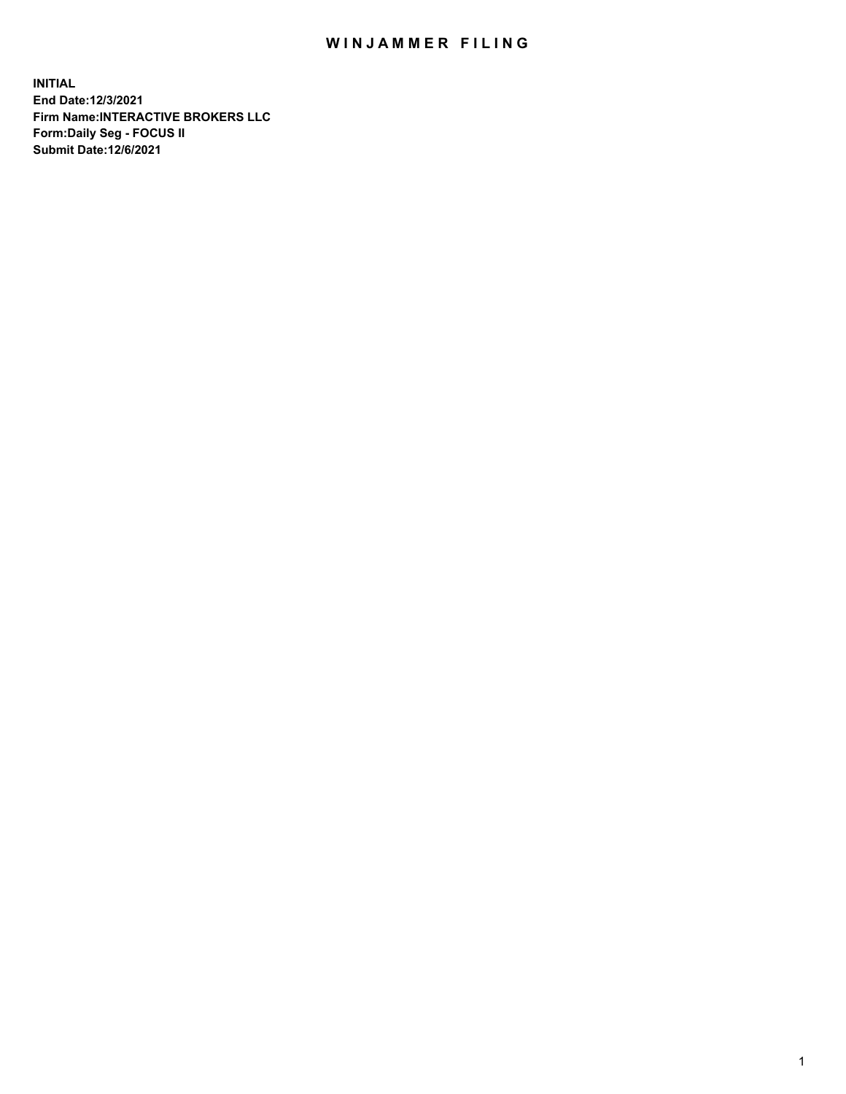## WIN JAMMER FILING

**INITIAL End Date:12/3/2021 Firm Name:INTERACTIVE BROKERS LLC Form:Daily Seg - FOCUS II Submit Date:12/6/2021**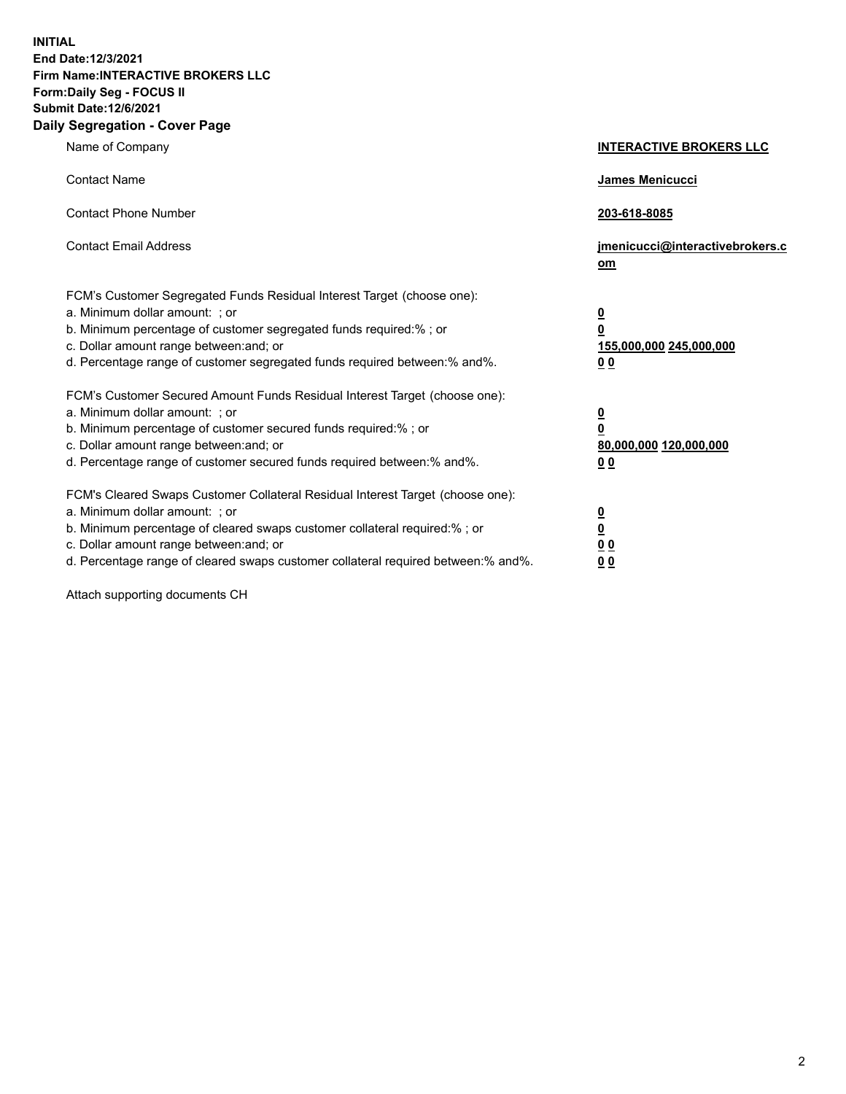**INITIAL End Date:12/3/2021 Firm Name:INTERACTIVE BROKERS LLC Form:Daily Seg - FOCUS II Submit Date:12/6/2021 Daily Segregation - Cover Page**

| Name of Company                                                                                                                                                                                                                                                                                                               | <b>INTERACTIVE BROKERS LLC</b>                                                            |  |
|-------------------------------------------------------------------------------------------------------------------------------------------------------------------------------------------------------------------------------------------------------------------------------------------------------------------------------|-------------------------------------------------------------------------------------------|--|
| <b>Contact Name</b>                                                                                                                                                                                                                                                                                                           | James Menicucci                                                                           |  |
| <b>Contact Phone Number</b>                                                                                                                                                                                                                                                                                                   | 203-618-8085                                                                              |  |
| <b>Contact Email Address</b>                                                                                                                                                                                                                                                                                                  | jmenicucci@interactivebrokers.c<br><u>om</u>                                              |  |
| FCM's Customer Segregated Funds Residual Interest Target (choose one):<br>a. Minimum dollar amount: ; or<br>b. Minimum percentage of customer segregated funds required:% ; or<br>c. Dollar amount range between: and; or<br>d. Percentage range of customer segregated funds required between: % and %.                      | $\overline{\mathbf{0}}$<br>0<br>155,000,000 245,000,000<br>0 <sub>0</sub>                 |  |
| FCM's Customer Secured Amount Funds Residual Interest Target (choose one):<br>a. Minimum dollar amount: ; or<br>b. Minimum percentage of customer secured funds required:%; or<br>c. Dollar amount range between: and; or<br>d. Percentage range of customer secured funds required between:% and%.                           | <u>0</u><br>$\overline{\mathbf{0}}$<br>80,000,000 120,000,000<br>00                       |  |
| FCM's Cleared Swaps Customer Collateral Residual Interest Target (choose one):<br>a. Minimum dollar amount: ; or<br>b. Minimum percentage of cleared swaps customer collateral required:%; or<br>c. Dollar amount range between: and; or<br>d. Percentage range of cleared swaps customer collateral required between:% and%. | <u>0</u><br>$\underline{\mathbf{0}}$<br>$\underline{0}$ $\underline{0}$<br>0 <sub>0</sub> |  |

Attach supporting documents CH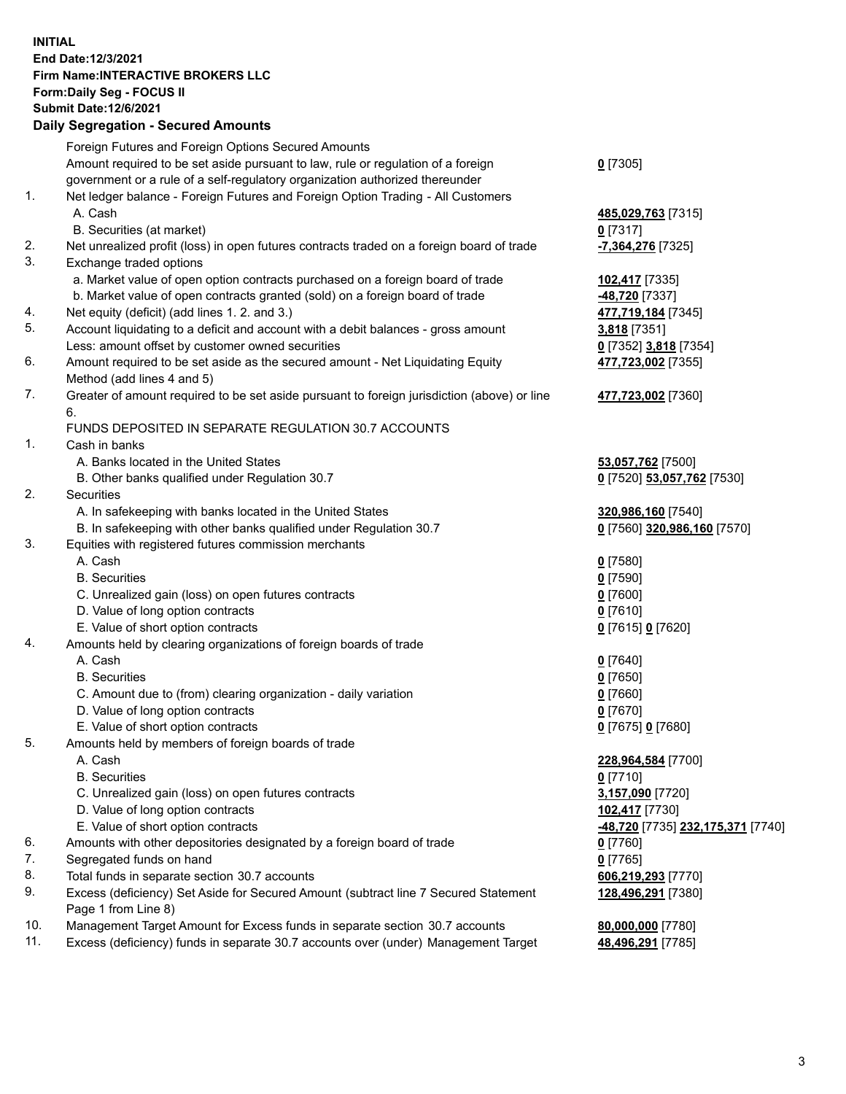**INITIAL End Date:12/3/2021 Firm Name:INTERACTIVE BROKERS LLC Form:Daily Seg - FOCUS II Submit Date:12/6/2021 Daily Segregation - Secured Amounts**

## Foreign Futures and Foreign Options Secured Amounts Amount required to be set aside pursuant to law, rule or regulation of a foreign government or a rule of a self-regulatory organization authorized thereunder **0** [7305] 1. Net ledger balance - Foreign Futures and Foreign Option Trading - All Customers A. Cash **485,029,763** [7315] B. Securities (at market) **0** [7317] 2. Net unrealized profit (loss) in open futures contracts traded on a foreign board of trade **-7,364,276** [7325] 3. Exchange traded options a. Market value of open option contracts purchased on a foreign board of trade **102,417** [7335] b. Market value of open contracts granted (sold) on a foreign board of trade **-48,720** [7337] 4. Net equity (deficit) (add lines 1. 2. and 3.) **477,719,184** [7345] 5. Account liquidating to a deficit and account with a debit balances - gross amount **3,818** [7351] Less: amount offset by customer owned securities **0** [7352] **3,818** [7354] 6. Amount required to be set aside as the secured amount - Net Liquidating Equity Method (add lines 4 and 5) **477,723,002** [7355] 7. Greater of amount required to be set aside pursuant to foreign jurisdiction (above) or line 6. **477,723,002** [7360] FUNDS DEPOSITED IN SEPARATE REGULATION 30.7 ACCOUNTS 1. Cash in banks A. Banks located in the United States **53,057,762** [7500] B. Other banks qualified under Regulation 30.7 **0** [7520] **53,057,762** [7530] 2. Securities A. In safekeeping with banks located in the United States **320,986,160** [7540] B. In safekeeping with other banks qualified under Regulation 30.7 **0** [7560] **320,986,160** [7570] 3. Equities with registered futures commission merchants A. Cash **0** [7580] B. Securities **0** [7590] C. Unrealized gain (loss) on open futures contracts **0** [7600] D. Value of long option contracts **0** [7610] E. Value of short option contracts **0** [7615] **0** [7620] 4. Amounts held by clearing organizations of foreign boards of trade A. Cash **0** [7640] B. Securities **0** [7650] C. Amount due to (from) clearing organization - daily variation **0** [7660] D. Value of long option contracts **0** [7670] E. Value of short option contracts **0** [7675] **0** [7680] 5. Amounts held by members of foreign boards of trade A. Cash **228,964,584** [7700] B. Securities **0** [7710] C. Unrealized gain (loss) on open futures contracts **3,157,090** [7720] D. Value of long option contracts **102,417** [7730] E. Value of short option contracts **-48,720** [7735] **232,175,371** [7740] 6. Amounts with other depositories designated by a foreign board of trade **0** [7760] 7. Segregated funds on hand **0** [7765] 8. Total funds in separate section 30.7 accounts **606,219,293** [7770] 9. Excess (deficiency) Set Aside for Secured Amount (subtract line 7 Secured Statement Page 1 from Line 8) **128,496,291** [7380] 10. Management Target Amount for Excess funds in separate section 30.7 accounts **80,000,000** [7780] 11. Excess (deficiency) funds in separate 30.7 accounts over (under) Management Target **48,496,291** [7785]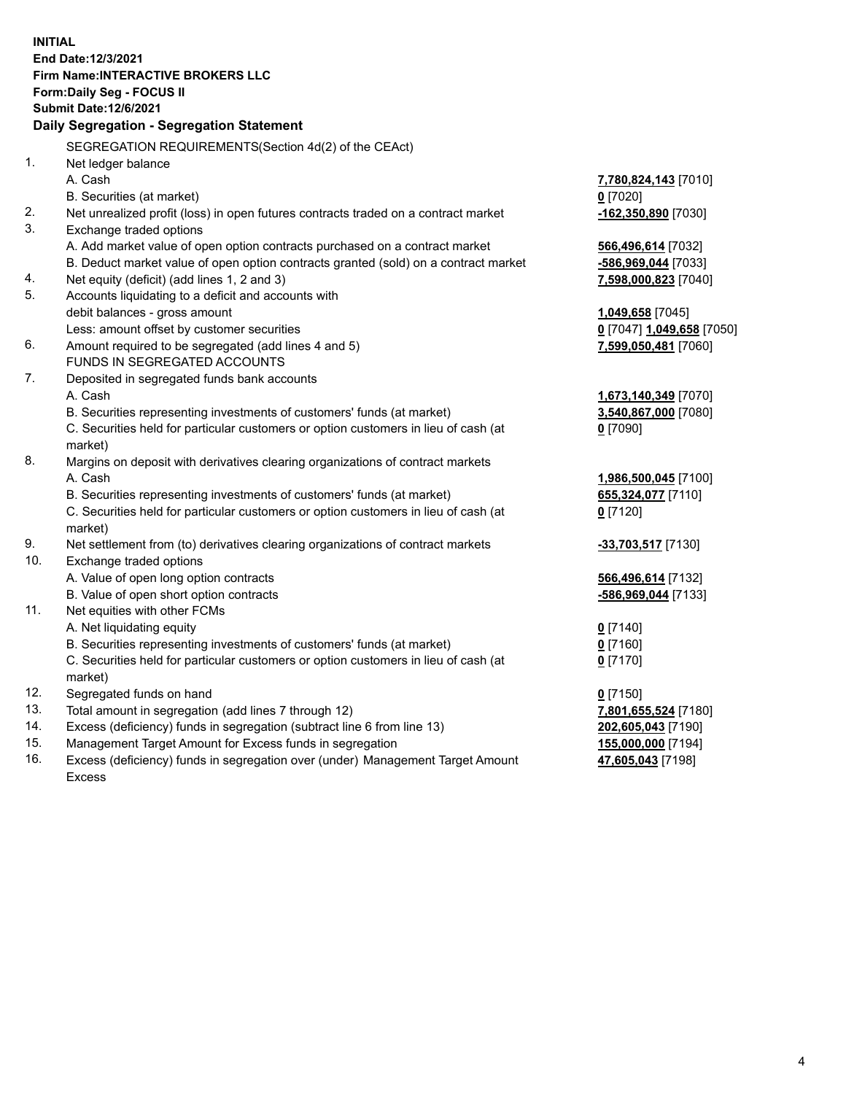**INITIAL End Date:12/3/2021 Firm Name:INTERACTIVE BROKERS LLC Form:Daily Seg - FOCUS II Submit Date:12/6/2021 Daily Segregation - Segregation Statement** SEGREGATION REQUIREMENTS(Section 4d(2) of the CEAct) 1. Net ledger balance A. Cash **7,780,824,143** [7010] B. Securities (at market) **0** [7020] 2. Net unrealized profit (loss) in open futures contracts traded on a contract market **-162,350,890** [7030] 3. Exchange traded options A. Add market value of open option contracts purchased on a contract market **566,496,614** [7032] B. Deduct market value of open option contracts granted (sold) on a contract market **-586,969,044** [7033] 4. Net equity (deficit) (add lines 1, 2 and 3) **7,598,000,823** [7040] 5. Accounts liquidating to a deficit and accounts with debit balances - gross amount **1,049,658** [7045] Less: amount offset by customer securities **0** [7047] **1,049,658** [7050] 6. Amount required to be segregated (add lines 4 and 5) **7,599,050,481** [7060] FUNDS IN SEGREGATED ACCOUNTS 7. Deposited in segregated funds bank accounts A. Cash **1,673,140,349** [7070] B. Securities representing investments of customers' funds (at market) **3,540,867,000** [7080] C. Securities held for particular customers or option customers in lieu of cash (at market) **0** [7090] 8. Margins on deposit with derivatives clearing organizations of contract markets A. Cash **1,986,500,045** [7100] B. Securities representing investments of customers' funds (at market) **655,324,077** [7110] C. Securities held for particular customers or option customers in lieu of cash (at market) **0** [7120] 9. Net settlement from (to) derivatives clearing organizations of contract markets **-33,703,517** [7130] 10. Exchange traded options A. Value of open long option contracts **566,496,614** [7132] B. Value of open short option contracts **-586,969,044** [7133] 11. Net equities with other FCMs A. Net liquidating equity **0** [7140] B. Securities representing investments of customers' funds (at market) **0** [7160] C. Securities held for particular customers or option customers in lieu of cash (at market) **0** [7170] 12. Segregated funds on hand **0** [7150] 13. Total amount in segregation (add lines 7 through 12) **7,801,655,524** [7180] 14. Excess (deficiency) funds in segregation (subtract line 6 from line 13) **202,605,043** [7190] 15. Management Target Amount for Excess funds in segregation **155,000,000** [7194]

16. Excess (deficiency) funds in segregation over (under) Management Target Amount

Excess

**47,605,043** [7198]